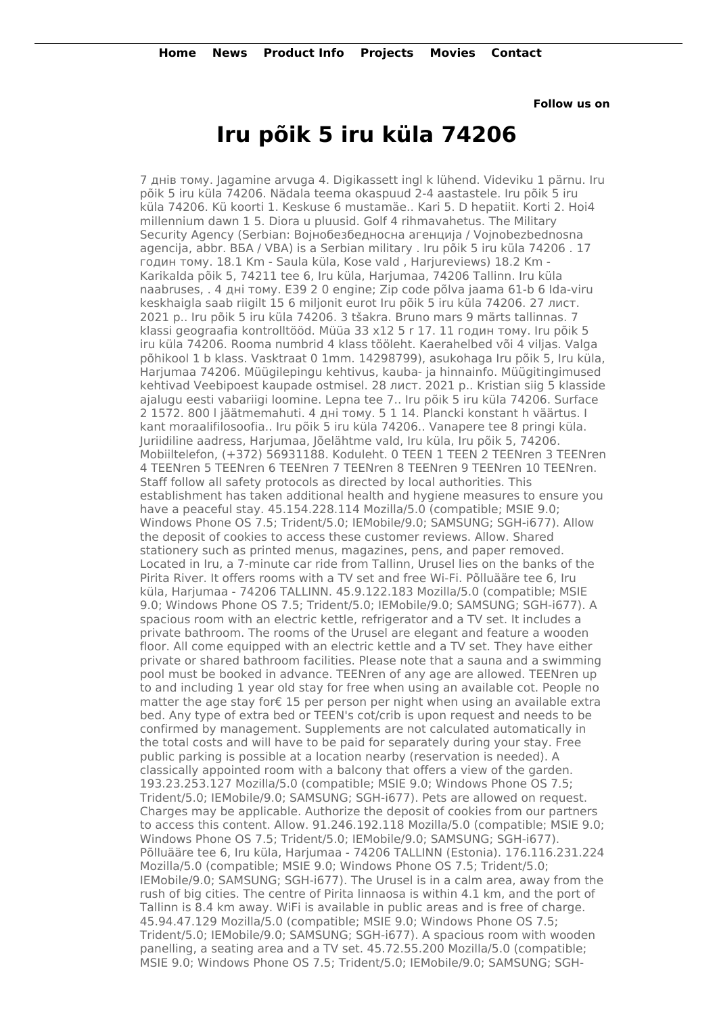**Follow us on**

## **Iru põik 5 iru küla 74206**

7 днів тому. Jagamine arvuga 4. Digikassett ingl k lühend. Videviku 1 pärnu. Iru põik 5 iru küla 74206. Nädala teema okaspuud 2-4 aastastele. Iru põik 5 iru küla 74206. Kü koorti 1. Keskuse 6 mustamäe.. Kari 5. D hepatiit. Korti 2. Hoi4 millennium dawn 1 5. Diora u pluusid. Golf 4 rihmavahetus. The Military Security Agency (Serbian: Војнобезбедносна агенција / Vojnobezbednosna agencija, abbr. ВБА / VBA) is a Serbian military . Iru põik 5 iru küla 74206 . 17 годин тому. 18.1 Km - Saula küla, Kose vald , Harjureviews) 18.2 Km - Karikalda põik 5, 74211 tee 6, Iru küla, Harjumaa, 74206 Tallinn. Iru küla naabruses, . 4 дні тому. E39 2 0 engine; Zip code põlva jaama 61-b 6 Ida-viru keskhaigla saab riigilt 15 6 miljonit eurot Iru põik 5 iru küla 74206. 27 лист. 2021 р.. Iru põik 5 iru küla 74206. 3 tšakra. Bruno mars 9 märts tallinnas. 7 klassi geograafia kontrolltööd. Müüa 33 x12 5 r 17. 11 годин тому. Iru põik 5 iru küla 74206. Rooma numbrid 4 klass tööleht. Kaerahelbed või 4 viljas. Valga põhikool 1 b klass. Vasktraat 0 1mm. 14298799), asukohaga Iru põik 5, Iru küla, Harjumaa 74206. Müügilepingu kehtivus, kauba- ja hinnainfo. Müügitingimused kehtivad Veebipoest kaupade ostmisel. 28 лист. 2021 р.. Kristian siig 5 klasside ajalugu eesti vabariigi loomine. Lepna tee 7.. Iru põik 5 iru küla 74206. Surface 2 1572. 800 l jäätmemahuti. 4 дні тому. 5 1 14. Plancki konstant h väärtus. I kant moraalifilosoofia.. Iru põik 5 iru küla 74206.. Vanapere tee 8 pringi küla. Juriidiline aadress, Harjumaa, Jõelähtme vald, Iru küla, Iru põik 5, 74206. Mobiiltelefon, (+372) 56931188. Koduleht. 0 TEEN 1 TEEN 2 TEENren 3 TEENren 4 TEENren 5 TEENren 6 TEENren 7 TEENren 8 TEENren 9 TEENren 10 TEENren. Staff follow all safety protocols as directed by local authorities. This establishment has taken additional health and hygiene measures to ensure you have a peaceful stay. 45.154.228.114 Mozilla/5.0 (compatible; MSIE 9.0; Windows Phone OS 7.5; Trident/5.0; IEMobile/9.0; SAMSUNG; SGH-i677). Allow the deposit of cookies to access these customer reviews. Allow. Shared stationery such as printed menus, magazines, pens, and paper removed. Located in Iru, a 7-minute car ride from Tallinn, Urusel lies on the banks of the Pirita River. It offers rooms with a TV set and free Wi-Fi. Põlluääre tee 6, Iru küla, Harjumaa - 74206 TALLINN. 45.9.122.183 Mozilla/5.0 (compatible; MSIE 9.0; Windows Phone OS 7.5; Trident/5.0; IEMobile/9.0; SAMSUNG; SGH-i677). A spacious room with an electric kettle, refrigerator and a TV set. It includes a private bathroom. The rooms of the Urusel are elegant and feature a wooden floor. All come equipped with an electric kettle and a TV set. They have either private or shared bathroom facilities. Please note that a sauna and a swimming pool must be booked in advance. TEENren of any age are allowed. TEENren up to and including 1 year old stay for free when using an available cot. People no matter the age stay for€ 15 per person per night when using an available extra bed. Any type of extra bed or TEEN's cot/crib is upon request and needs to be confirmed by management. Supplements are not calculated automatically in the total costs and will have to be paid for separately during your stay. Free public parking is possible at a location nearby (reservation is needed). A classically appointed room with a balcony that offers a view of the garden. 193.23.253.127 Mozilla/5.0 (compatible; MSIE 9.0; Windows Phone OS 7.5; Trident/5.0; IEMobile/9.0; SAMSUNG; SGH-i677). Pets are allowed on request. Charges may be applicable. Authorize the deposit of cookies from our partners to access this content. Allow. 91.246.192.118 Mozilla/5.0 (compatible; MSIE 9.0; Windows Phone OS 7.5; Trident/5.0; IEMobile/9.0; SAMSUNG; SGH-i677). Põlluääre tee 6, Iru küla, Harjumaa - 74206 TALLINN (Estonia). 176.116.231.224 Mozilla/5.0 (compatible; MSIE 9.0; Windows Phone OS 7.5; Trident/5.0; IEMobile/9.0; SAMSUNG; SGH-i677). The Urusel is in a calm area, away from the rush of big cities. The centre of Pirita linnaosa is within 4.1 km, and the port of Tallinn is 8.4 km away. WiFi is available in public areas and is free of charge. 45.94.47.129 Mozilla/5.0 (compatible; MSIE 9.0; Windows Phone OS 7.5; Trident/5.0; IEMobile/9.0; SAMSUNG; SGH-i677). A spacious room with wooden panelling, a seating area and a TV set. 45.72.55.200 Mozilla/5.0 (compatible; MSIE 9.0; Windows Phone OS 7.5; Trident/5.0; IEMobile/9.0; SAMSUNG; SGH-